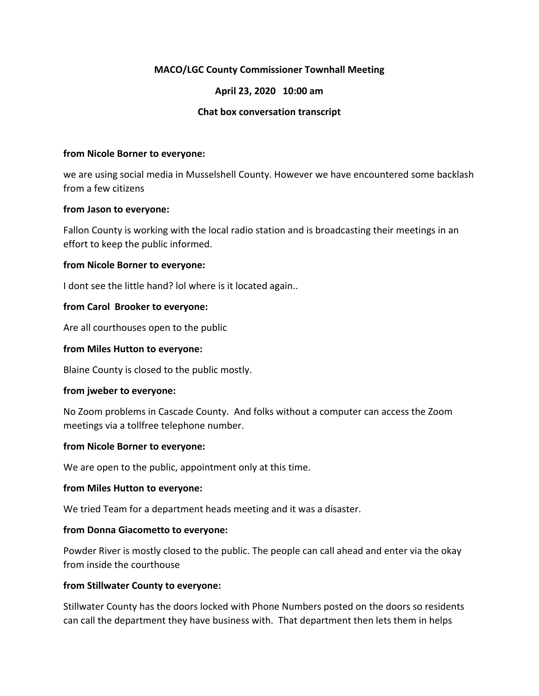# **MACO/LGC County Commissioner Townhall Meeting**

# **April 23, 2020 10:00 am**

## **Chat box conversation transcript**

#### **from Nicole Borner to everyone:**

we are using social media in Musselshell County. However we have encountered some backlash from a few citizens

#### **from Jason to everyone:**

Fallon County is working with the local radio station and is broadcasting their meetings in an effort to keep the public informed.

### **from Nicole Borner to everyone:**

I dont see the little hand? lol where is it located again..

### **from Carol Brooker to everyone:**

Are all courthouses open to the public

#### **from Miles Hutton to everyone:**

Blaine County is closed to the public mostly.

#### **from jweber to everyone:**

No Zoom problems in Cascade County. And folks without a computer can access the Zoom meetings via a tollfree telephone number.

#### **from Nicole Borner to everyone:**

We are open to the public, appointment only at this time.

#### **from Miles Hutton to everyone:**

We tried Team for a department heads meeting and it was a disaster.

#### **from Donna Giacometto to everyone:**

Powder River is mostly closed to the public. The people can call ahead and enter via the okay from inside the courthouse

## **from Stillwater County to everyone:**

Stillwater County has the doors locked with Phone Numbers posted on the doors so residents can call the department they have business with. That department then lets them in helps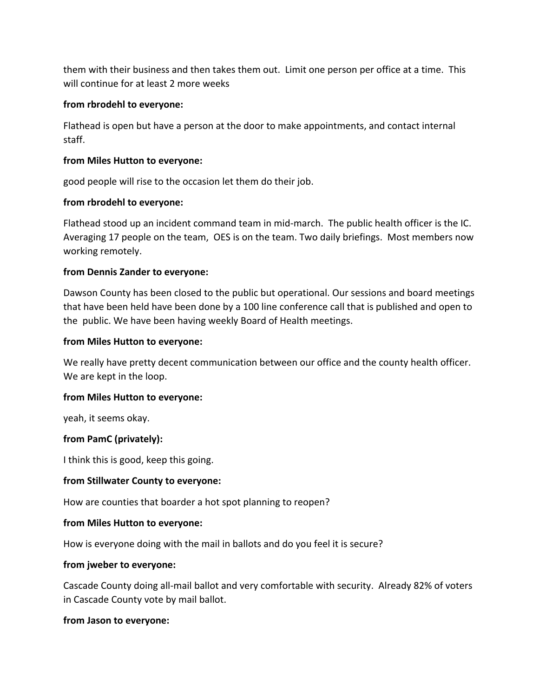them with their business and then takes them out. Limit one person per office at a time. This will continue for at least 2 more weeks

## **from rbrodehl to everyone:**

Flathead is open but have a person at the door to make appointments, and contact internal staff.

# **from Miles Hutton to everyone:**

good people will rise to the occasion let them do their job.

# **from rbrodehl to everyone:**

Flathead stood up an incident command team in mid-march. The public health officer is the IC. Averaging 17 people on the team, OES is on the team. Two daily briefings. Most members now working remotely.

# **from Dennis Zander to everyone:**

Dawson County has been closed to the public but operational. Our sessions and board meetings that have been held have been done by a 100 line conference call that is published and open to the public. We have been having weekly Board of Health meetings.

# **from Miles Hutton to everyone:**

We really have pretty decent communication between our office and the county health officer. We are kept in the loop.

## **from Miles Hutton to everyone:**

yeah, it seems okay.

# **from PamC (privately):**

I think this is good, keep this going.

## **from Stillwater County to everyone:**

How are counties that boarder a hot spot planning to reopen?

## **from Miles Hutton to everyone:**

How is everyone doing with the mail in ballots and do you feel it is secure?

## **from jweber to everyone:**

Cascade County doing all-mail ballot and very comfortable with security. Already 82% of voters in Cascade County vote by mail ballot.

## **from Jason to everyone:**